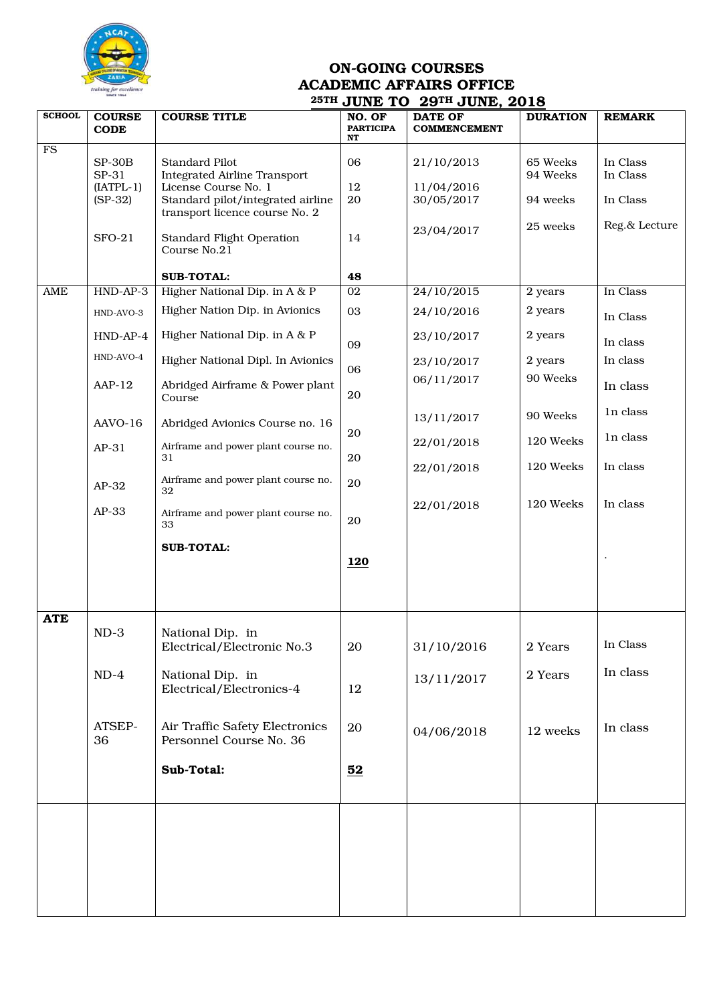

## ON-GOING COURSES ACADEMIC AFFAIRS OFFICE 25TH JUNE TO 29TH JUNE, 2018

|               |                              |                                           | OUNE IV                          | 29. JUND, 2010                        |                 |               |
|---------------|------------------------------|-------------------------------------------|----------------------------------|---------------------------------------|-----------------|---------------|
| <b>SCHOOL</b> | <b>COURSE</b><br><b>CODE</b> | <b>COURSE TITLE</b>                       | NO. OF<br><b>PARTICIPA</b><br>NT | <b>DATE OF</b><br><b>COMMENCEMENT</b> | <b>DURATION</b> | <b>REMARK</b> |
| <b>FS</b>     |                              |                                           |                                  |                                       |                 |               |
|               | $SP-30B$                     | <b>Standard Pilot</b>                     | 06                               | 21/10/2013                            | 65 Weeks        | In Class      |
|               | SP-31                        | <b>Integrated Airline Transport</b>       |                                  |                                       | 94 Weeks        | In Class      |
|               | $[IATPL-1]$                  | License Course No. 1                      | 12                               | 11/04/2016                            |                 |               |
|               | $(SP-32)$                    | Standard pilot/integrated airline         | 20                               | 30/05/2017                            | 94 weeks        | In Class      |
|               |                              | transport licence course No. 2            |                                  |                                       |                 |               |
|               |                              |                                           |                                  | 23/04/2017                            | 25 weeks        | Reg.& Lecture |
|               | $SFO-21$                     | <b>Standard Flight Operation</b>          | 14                               |                                       |                 |               |
|               |                              | Course No.21                              |                                  |                                       |                 |               |
|               |                              |                                           |                                  |                                       |                 |               |
|               |                              | <b>SUB-TOTAL:</b>                         | 48                               |                                       |                 |               |
| AME           | HND-AP-3                     | Higher National Dip. in A & P             | 02                               | 24/10/2015                            | 2 years         | In Class      |
|               | HND-AVO-3                    | Higher Nation Dip. in Avionics            | 03                               | 24/10/2016                            | 2 years         |               |
|               |                              |                                           |                                  |                                       |                 | In Class      |
|               | $HND-AP-4$                   | Higher National Dip. in A & P             |                                  | 23/10/2017                            | 2 years         |               |
|               |                              |                                           | 09                               |                                       |                 | In class      |
|               | HND-AVO-4                    | Higher National Dipl. In Avionics         |                                  | 23/10/2017                            | 2 years         | In class      |
|               |                              |                                           | 06                               |                                       | 90 Weeks        |               |
|               | $AAP-12$                     | Abridged Airframe & Power plant           |                                  | 06/11/2017                            |                 | In class      |
|               |                              | Course                                    | 20                               |                                       |                 |               |
|               |                              |                                           |                                  | 13/11/2017                            | 90 Weeks        | In class      |
|               | AAVO-16                      | Abridged Avionics Course no. 16           |                                  |                                       |                 |               |
|               |                              |                                           | 20                               | 22/01/2018                            | 120 Weeks       | In class      |
|               | $AP-31$                      | Airframe and power plant course no.<br>31 | $20\,$                           |                                       |                 |               |
|               |                              |                                           |                                  | 22/01/2018                            | 120 Weeks       | In class      |
|               |                              | Airframe and power plant course no.       | 20                               |                                       |                 |               |
|               | $AP-32$                      | 32                                        |                                  |                                       |                 |               |
|               |                              |                                           |                                  | 22/01/2018                            | 120 Weeks       | In class      |
|               | $AP-33$                      | Airframe and power plant course no.       | 20                               |                                       |                 |               |
|               |                              | 33                                        |                                  |                                       |                 |               |
|               |                              | <b>SUB-TOTAL:</b>                         |                                  |                                       |                 |               |
|               |                              |                                           | <b>120</b>                       |                                       |                 |               |
|               |                              |                                           |                                  |                                       |                 |               |
|               |                              |                                           |                                  |                                       |                 |               |
|               |                              |                                           |                                  |                                       |                 |               |
|               |                              |                                           |                                  |                                       |                 |               |
| <b>ATE</b>    |                              |                                           |                                  |                                       |                 |               |
|               | $ND-3$                       | National Dip. in                          |                                  |                                       |                 | In Class      |
|               |                              | Electrical/Electronic No.3                | 20                               | 31/10/2016                            | 2 Years         |               |
|               |                              |                                           |                                  |                                       |                 |               |
|               | $ND-4$                       | National Dip. in                          |                                  | 13/11/2017                            | 2 Years         | In class      |
|               |                              | Electrical/Electronics-4                  | 12                               |                                       |                 |               |
|               |                              |                                           |                                  |                                       |                 |               |
|               |                              |                                           |                                  |                                       |                 |               |
|               | ATSEP-                       | Air Traffic Safety Electronics            | 20                               | 04/06/2018                            | 12 weeks        | In class      |
|               | 36                           | Personnel Course No. 36                   |                                  |                                       |                 |               |
|               |                              |                                           |                                  |                                       |                 |               |
|               |                              | Sub-Total:                                | 52                               |                                       |                 |               |
|               |                              |                                           |                                  |                                       |                 |               |
|               |                              |                                           |                                  |                                       |                 |               |
|               |                              |                                           |                                  |                                       |                 |               |
|               |                              |                                           |                                  |                                       |                 |               |
|               |                              |                                           |                                  |                                       |                 |               |
|               |                              |                                           |                                  |                                       |                 |               |
|               |                              |                                           |                                  |                                       |                 |               |
|               |                              |                                           |                                  |                                       |                 |               |
|               |                              |                                           |                                  |                                       |                 |               |
|               |                              |                                           |                                  |                                       |                 |               |